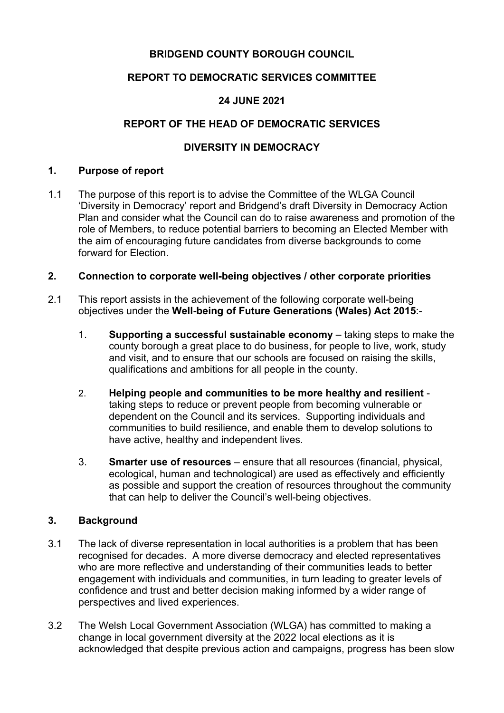# **BRIDGEND COUNTY BOROUGH COUNCIL**

# **REPORT TO DEMOCRATIC SERVICES COMMITTEE**

# **24 JUNE 2021**

# **REPORT OF THE HEAD OF DEMOCRATIC SERVICES**

# **DIVERSITY IN DEMOCRACY**

#### **1. Purpose of report**

1.1 The purpose of this report is to advise the Committee of the WLGA Council 'Diversity in Democracy' report and Bridgend's draft Diversity in Democracy Action Plan and consider what the Council can do to raise awareness and promotion of the role of Members, to reduce potential barriers to becoming an Elected Member with the aim of encouraging future candidates from diverse backgrounds to come forward for Election.

## **2. Connection to corporate well-being objectives / other corporate priorities**

- 2.1 This report assists in the achievement of the following corporate well-being objectives under the **Well-being of Future Generations (Wales) Act 2015**:-
	- 1. **Supporting a successful sustainable economy** taking steps to make the county borough a great place to do business, for people to live, work, study and visit, and to ensure that our schools are focused on raising the skills, qualifications and ambitions for all people in the county.
	- 2. **Helping people and communities to be more healthy and resilient** taking steps to reduce or prevent people from becoming vulnerable or dependent on the Council and its services. Supporting individuals and communities to build resilience, and enable them to develop solutions to have active, healthy and independent lives.
	- 3. **Smarter use of resources** ensure that all resources (financial, physical, ecological, human and technological) are used as effectively and efficiently as possible and support the creation of resources throughout the community that can help to deliver the Council's well-being objectives.

## **3. Background**

- 3.1 The lack of diverse representation in local authorities is a problem that has been recognised for decades. A more diverse democracy and elected representatives who are more reflective and understanding of their communities leads to better engagement with individuals and communities, in turn leading to greater levels of confidence and trust and better decision making informed by a wider range of perspectives and lived experiences.
- 3.2 The Welsh Local Government Association (WLGA) has committed to making a change in local government diversity at the 2022 local elections as it is acknowledged that despite previous action and campaigns, progress has been slow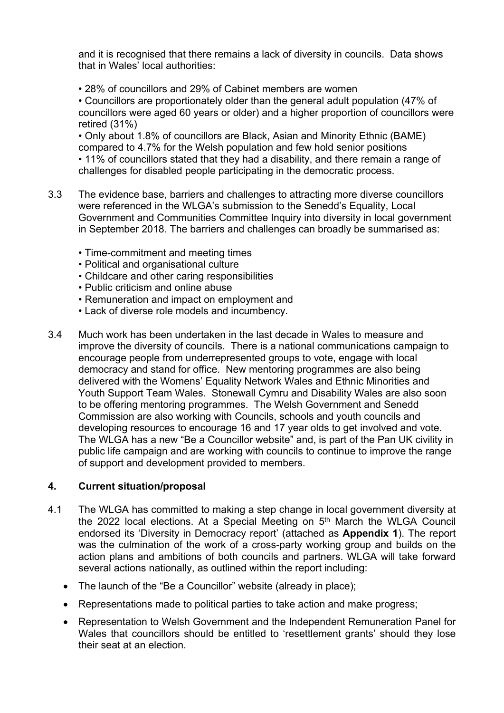and it is recognised that there remains a lack of diversity in councils. Data shows that in Wales' local authorities:

• 28% of councillors and 29% of Cabinet members are women

• Councillors are proportionately older than the general adult population (47% of councillors were aged 60 years or older) and a higher proportion of councillors were retired (31%)

• Only about 1.8% of councillors are Black, Asian and Minority Ethnic (BAME) compared to 4.7% for the Welsh population and few hold senior positions • 11% of councillors stated that they had a disability, and there remain a range of challenges for disabled people participating in the democratic process.

- 3.3 The evidence base, barriers and challenges to attracting more diverse councillors were referenced in the WLGA's submission to the Senedd's Equality, Local Government and Communities Committee Inquiry into diversity in local government in September 2018. The barriers and challenges can broadly be summarised as:
	- Time-commitment and meeting times
	- Political and organisational culture
	- Childcare and other caring responsibilities
	- Public criticism and online abuse
	- Remuneration and impact on employment and
	- Lack of diverse role models and incumbency.
- 3.4 Much work has been undertaken in the last decade in Wales to measure and improve the diversity of councils. There is a national communications campaign to encourage people from underrepresented groups to vote, engage with local democracy and stand for office. New mentoring programmes are also being delivered with the Womens' Equality Network Wales and Ethnic Minorities and Youth Support Team Wales. Stonewall Cymru and Disability Wales are also soon to be offering mentoring programmes. The Welsh Government and Senedd Commission are also working with Councils, schools and youth councils and developing resources to encourage 16 and 17 year olds to get involved and vote. The WLGA has a new "Be a Councillor website" and, is part of the Pan UK civility in public life campaign and are working with councils to continue to improve the range of support and development provided to members.

## **4. Current situation/proposal**

- 4.1 The WLGA has committed to making a step change in local government diversity at the 2022 local elections. At a Special Meeting on 5<sup>th</sup> March the WLGA Council endorsed its 'Diversity in Democracy report' (attached as **Appendix 1**). The report was the culmination of the work of a cross-party working group and builds on the action plans and ambitions of both councils and partners. WLGA will take forward several actions nationally, as outlined within the report including:
	- The launch of the "Be a Councillor" website (already in place);
	- Representations made to political parties to take action and make progress;
	- Representation to Welsh Government and the Independent Remuneration Panel for Wales that councillors should be entitled to 'resettlement grants' should they lose their seat at an election.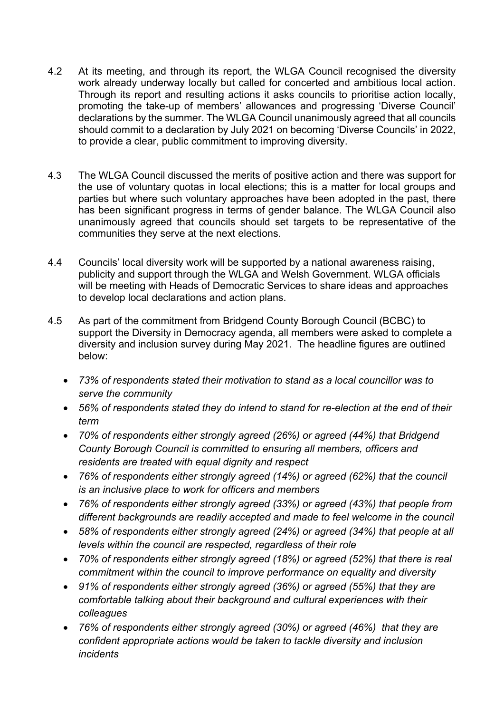- 4.2 At its meeting, and through its report, the WLGA Council recognised the diversity work already underway locally but called for concerted and ambitious local action. Through its report and resulting actions it asks councils to prioritise action locally, promoting the take-up of members' allowances and progressing 'Diverse Council' declarations by the summer. The WLGA Council unanimously agreed that all councils should commit to a declaration by July 2021 on becoming 'Diverse Councils' in 2022, to provide a clear, public commitment to improving diversity.
- 4.3 The WLGA Council discussed the merits of positive action and there was support for the use of voluntary quotas in local elections; this is a matter for local groups and parties but where such voluntary approaches have been adopted in the past, there has been significant progress in terms of gender balance. The WLGA Council also unanimously agreed that councils should set targets to be representative of the communities they serve at the next elections.
- 4.4 Councils' local diversity work will be supported by a national awareness raising, publicity and support through the WLGA and Welsh Government. WLGA officials will be meeting with Heads of Democratic Services to share ideas and approaches to develop local declarations and action plans.
- 4.5 As part of the commitment from Bridgend County Borough Council (BCBC) to support the Diversity in Democracy agenda, all members were asked to complete a diversity and inclusion survey during May 2021. The headline figures are outlined below:
	- *73% of respondents stated their motivation to stand as a local councillor was to serve the community*
	- *56% of respondents stated they do intend to stand for re-election at the end of their term*
	- *70% of respondents either strongly agreed (26%) or agreed (44%) that Bridgend County Borough Council is committed to ensuring all members, officers and residents are treated with equal dignity and respect*
	- *76% of respondents either strongly agreed (14%) or agreed (62%) that the council is an inclusive place to work for officers and members*
	- *76% of respondents either strongly agreed (33%) or agreed (43%) that people from different backgrounds are readily accepted and made to feel welcome in the council*
	- *58% of respondents either strongly agreed (24%) or agreed (34%) that people at all levels within the council are respected, regardless of their role*
	- *70% of respondents either strongly agreed (18%) or agreed (52%) that there is real commitment within the council to improve performance on equality and diversity*
	- *91% of respondents either strongly agreed (36%) or agreed (55%) that they are comfortable talking about their background and cultural experiences with their colleagues*
	- *76% of respondents either strongly agreed (30%) or agreed (46%) that they are confident appropriate actions would be taken to tackle diversity and inclusion incidents*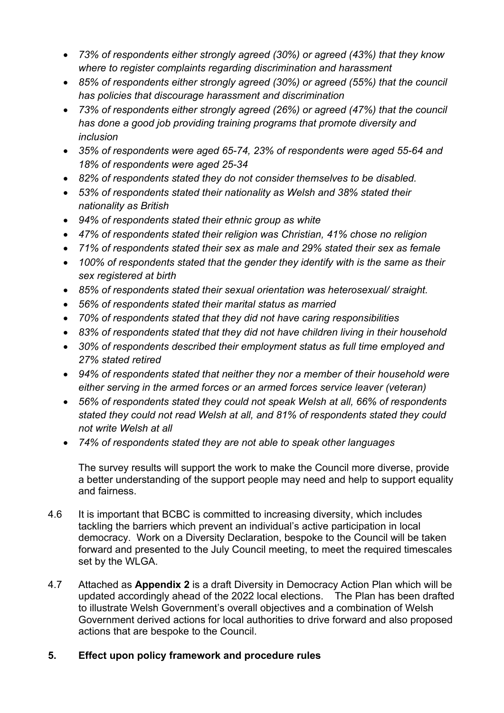- *73% of respondents either strongly agreed (30%) or agreed (43%) that they know where to register complaints regarding discrimination and harassment*
- *85% of respondents either strongly agreed (30%) or agreed (55%) that the council has policies that discourage harassment and discrimination*
- *73% of respondents either strongly agreed (26%) or agreed (47%) that the council has done a good job providing training programs that promote diversity and inclusion*
- *35% of respondents were aged 65-74, 23% of respondents were aged 55-64 and 18% of respondents were aged 25-34*
- *82% of respondents stated they do not consider themselves to be disabled.*
- *53% of respondents stated their nationality as Welsh and 38% stated their nationality as British*
- *94% of respondents stated their ethnic group as white*
- *47% of respondents stated their religion was Christian, 41% chose no religion*
- *71% of respondents stated their sex as male and 29% stated their sex as female*
- *100% of respondents stated that the gender they identify with is the same as their sex registered at birth*
- *85% of respondents stated their sexual orientation was heterosexual/ straight.*
- *56% of respondents stated their marital status as married*
- *70% of respondents stated that they did not have caring responsibilities*
- *83% of respondents stated that they did not have children living in their household*
- *30% of respondents described their employment status as full time employed and 27% stated retired*
- *94% of respondents stated that neither they nor a member of their household were either serving in the armed forces or an armed forces service leaver (veteran)*
- *56% of respondents stated they could not speak Welsh at all, 66% of respondents stated they could not read Welsh at all, and 81% of respondents stated they could not write Welsh at all*
- *74% of respondents stated they are not able to speak other languages*

The survey results will support the work to make the Council more diverse, provide a better understanding of the support people may need and help to support equality and fairness.

- 4.6 It is important that BCBC is committed to increasing diversity, which includes tackling the barriers which prevent an individual's active participation in local democracy. Work on a Diversity Declaration, bespoke to the Council will be taken forward and presented to the July Council meeting, to meet the required timescales set by the WLGA.
- 4.7 Attached as **Appendix 2** is a draft Diversity in Democracy Action Plan which will be updated accordingly ahead of the 2022 local elections. The Plan has been drafted to illustrate Welsh Government's overall objectives and a combination of Welsh Government derived actions for local authorities to drive forward and also proposed actions that are bespoke to the Council.

## **5. Effect upon policy framework and procedure rules**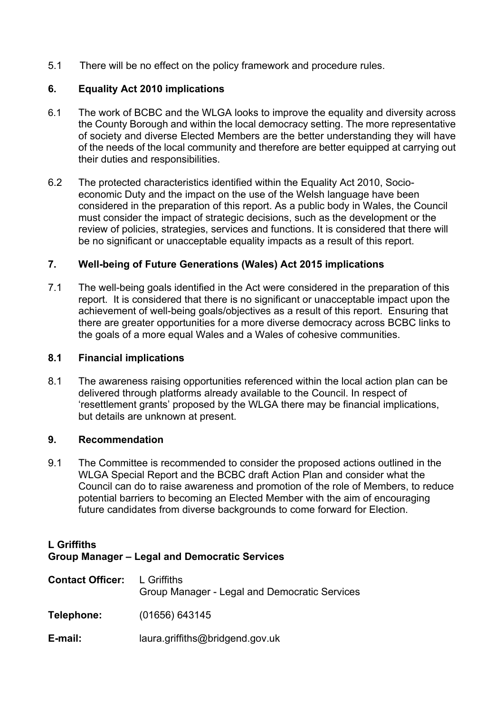5.1 There will be no effect on the policy framework and procedure rules.

#### **6. Equality Act 2010 implications**

- 6.1 The work of BCBC and the WLGA looks to improve the equality and diversity across the County Borough and within the local democracy setting. The more representative of society and diverse Elected Members are the better understanding they will have of the needs of the local community and therefore are better equipped at carrying out their duties and responsibilities.
- 6.2 The protected characteristics identified within the Equality Act 2010, Socioeconomic Duty and the impact on the use of the Welsh language have been considered in the preparation of this report. As a public body in Wales, the Council must consider the impact of strategic decisions, such as the development or the review of policies, strategies, services and functions. It is considered that there will be no significant or unacceptable equality impacts as a result of this report.

#### **7. Well-being of Future Generations (Wales) Act 2015 implications**

7.1 The well-being goals identified in the Act were considered in the preparation of this report. It is considered that there is no significant or unacceptable impact upon the achievement of well-being goals/objectives as a result of this report. Ensuring that there are greater opportunities for a more diverse democracy across BCBC links to the goals of a more equal Wales and a Wales of cohesive communities.

#### **8.1 Financial implications**

8.1 The awareness raising opportunities referenced within the local action plan can be delivered through platforms already available to the Council. In respect of 'resettlement grants' proposed by the WLGA there may be financial implications, but details are unknown at present.

#### **9. Recommendation**

9.1 The Committee is recommended to consider the proposed actions outlined in the WLGA Special Report and the BCBC draft Action Plan and consider what the Council can do to raise awareness and promotion of the role of Members, to reduce potential barriers to becoming an Elected Member with the aim of encouraging future candidates from diverse backgrounds to come forward for Election.

#### **L Griffiths Group Manager – Legal and Democratic Services**

| <b>Contact Officer:</b> | L Griffiths<br>Group Manager - Legal and Democratic Services |
|-------------------------|--------------------------------------------------------------|
| Telephone:              | (01656) 643145                                               |
| E-mail:                 | laura.griffiths@bridgend.gov.uk                              |